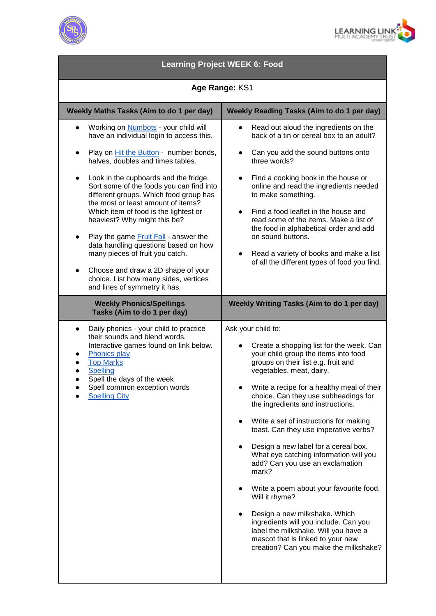



| <b>Learning Project WEEK 6: Food</b>                                                                                                                                                                                                                                                                                                                                                                                                                                                                                                                                                                                                                                                            |                                                                                                                                                                                                                                                                                                                                                                                                                                                                                                                                                                                                                                                                                                                                                                                    |
|-------------------------------------------------------------------------------------------------------------------------------------------------------------------------------------------------------------------------------------------------------------------------------------------------------------------------------------------------------------------------------------------------------------------------------------------------------------------------------------------------------------------------------------------------------------------------------------------------------------------------------------------------------------------------------------------------|------------------------------------------------------------------------------------------------------------------------------------------------------------------------------------------------------------------------------------------------------------------------------------------------------------------------------------------------------------------------------------------------------------------------------------------------------------------------------------------------------------------------------------------------------------------------------------------------------------------------------------------------------------------------------------------------------------------------------------------------------------------------------------|
| Age Range: KS1                                                                                                                                                                                                                                                                                                                                                                                                                                                                                                                                                                                                                                                                                  |                                                                                                                                                                                                                                                                                                                                                                                                                                                                                                                                                                                                                                                                                                                                                                                    |
| Weekly Maths Tasks (Aim to do 1 per day)                                                                                                                                                                                                                                                                                                                                                                                                                                                                                                                                                                                                                                                        | Weekly Reading Tasks (Aim to do 1 per day)                                                                                                                                                                                                                                                                                                                                                                                                                                                                                                                                                                                                                                                                                                                                         |
| Working on <b>Numbots</b> - your child will<br>have an individual login to access this.<br>Play on Hit the Button - number bonds,<br>$\bullet$<br>halves, doubles and times tables.<br>Look in the cupboards and the fridge.<br>$\bullet$<br>Sort some of the foods you can find into<br>different groups. Which food group has<br>the most or least amount of items?<br>Which item of food is the lightest or<br>heaviest? Why might this be?<br>Play the game Fruit Fall - answer the<br>data handling questions based on how<br>many pieces of fruit you catch.<br>Choose and draw a 2D shape of your<br>$\bullet$<br>choice. List how many sides, vertices<br>and lines of symmetry it has. | Read out aloud the ingredients on the<br>back of a tin or cereal box to an adult?<br>Can you add the sound buttons onto<br>three words?<br>Find a cooking book in the house or<br>online and read the ingredients needed<br>to make something.<br>Find a food leaflet in the house and<br>read some of the items. Make a list of<br>the food in alphabetical order and add<br>on sound buttons.<br>Read a variety of books and make a list<br>$\bullet$<br>of all the different types of food you find.                                                                                                                                                                                                                                                                            |
| <b>Weekly Phonics/Spellings</b><br>Tasks (Aim to do 1 per day)                                                                                                                                                                                                                                                                                                                                                                                                                                                                                                                                                                                                                                  | <b>Weekly Writing Tasks (Aim to do 1 per day)</b>                                                                                                                                                                                                                                                                                                                                                                                                                                                                                                                                                                                                                                                                                                                                  |
| Daily phonics - your child to practice<br>$\bullet$<br>their sounds and blend words.<br>Interactive games found on link below.<br><b>Phonics play</b><br><b>Top Marks</b><br><b>Spelling</b><br>Spell the days of the week<br>Spell common exception words<br><b>Spelling City</b>                                                                                                                                                                                                                                                                                                                                                                                                              | Ask your child to:<br>Create a shopping list for the week. Can<br>your child group the items into food<br>groups on their list e.g. fruit and<br>vegetables, meat, dairy.<br>Write a recipe for a healthy meal of their<br>choice. Can they use subheadings for<br>the ingredients and instructions.<br>Write a set of instructions for making<br>toast. Can they use imperative verbs?<br>Design a new label for a cereal box.<br>What eye catching information will you<br>add? Can you use an exclamation<br>mark?<br>Write a poem about your favourite food.<br>Will it rhyme?<br>Design a new milkshake. Which<br>ingredients will you include. Can you<br>label the milkshake. Will you have a<br>mascot that is linked to your new<br>creation? Can you make the milkshake? |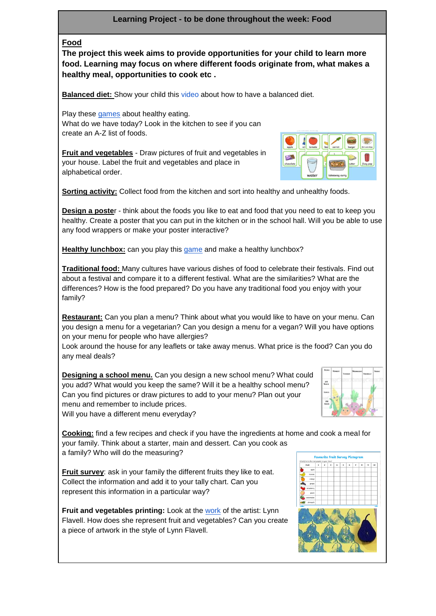## **Learning Project - to be done throughout the week: Food**

## **Food**

**The project this week aims to provide opportunities for your child to learn more food. Learning may focus on where different foods originate from, what makes a healthy meal, opportunities to cook etc .**

**Balanced diet:** Show your child this [video](https://www.bbc.co.uk/bitesize/topics/zv4cwmn/resources/1) about how to have a balanced diet.

Play these [games](http://resources.hwb.wales.gov.uk/VTC/healthy_eating/eng/Introduction/default.htm) about healthy eating. What do we have today? Look in the kitchen to see if you can create an A-Z list of foods.

**Fruit and vegetables** - Draw pictures of fruit and vegetables in your house. Label the fruit and vegetables and place in alphabetical order.



**Sorting activity:** Collect food from the kitchen and sort into healthy and unhealthy foods.

**Design a poste**r - think about the foods you like to eat and food that you need to eat to keep you healthy. Create a poster that you can put in the kitchen or in the school hall. Will you be able to use any food wrappers or make your poster interactive?

**Healthy lunchbox:** can you play this [game](http://archive.foodafactoflife.org.uk/Activity.aspx?siteId=14§ionId=61&contentId=56) and make a healthy lunchbox?

**Traditional food:** Many cultures have various dishes of food to celebrate their festivals. Find out about a festival and compare it to a different festival. What are the similarities? What are the differences? How is the food prepared? Do you have any traditional food you enjoy with your family?

**Restaurant:** Can you plan a menu? Think about what you would like to have on your menu. Can you design a menu for a vegetarian? Can you design a menu for a vegan? Will you have options on your menu for people who have allergies?

Look around the house for any leaflets or take away menus. What price is the food? Can you do any meal deals?

**Designing a school menu.** Can you design a new school menu? What could you add? What would you keep the same? Will it be a healthy school menu? Can you find pictures or draw pictures to add to your menu? Plan out your menu and remember to include prices. Will you have a different menu everyday?



**Cooking:** find a few recipes and check if you have the ingredients at home and cook a meal for your family. Think about a starter, main and dessert. Can you cook as a family? Who will do the measuring?

**Fruit survey**: ask in your family the different fruits they like to eat. Collect the information and add it to your tally chart. Can you represent this information in a particular way?

**Fruit and vegetables printing:** Look at the [work](https://www.bbc.co.uk/programmes/p01d6gw2) of the artist: Lynn Flavell. How does she represent fruit and vegetables? Can you create a piece of artwork in the style of Lynn Flavell.